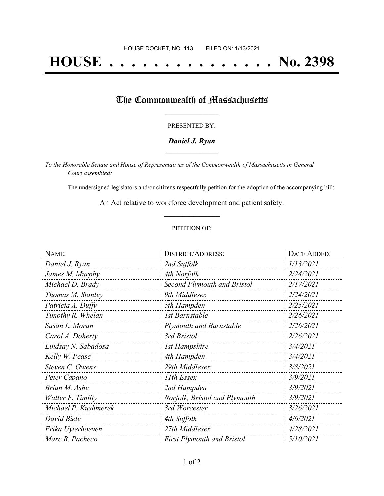# **HOUSE . . . . . . . . . . . . . . . No. 2398**

## The Commonwealth of Massachusetts

#### PRESENTED BY:

#### *Daniel J. Ryan* **\_\_\_\_\_\_\_\_\_\_\_\_\_\_\_\_\_**

*To the Honorable Senate and House of Representatives of the Commonwealth of Massachusetts in General Court assembled:*

The undersigned legislators and/or citizens respectfully petition for the adoption of the accompanying bill:

An Act relative to workforce development and patient safety. **\_\_\_\_\_\_\_\_\_\_\_\_\_\_\_**

#### PETITION OF:

| NAME:                | <b>DISTRICT/ADDRESS:</b>           | DATE ADDED: |
|----------------------|------------------------------------|-------------|
| Daniel J. Ryan       | 2nd Suffolk                        | 1/13/2021   |
| James M. Murphy      | 4th Norfolk                        | 2/24/2021   |
| Michael D. Brady     | <b>Second Plymouth and Bristol</b> | 2/17/2021   |
| Thomas M. Stanley    | 9th Middlesex                      | 2/24/2021   |
| Patricia A. Duffy    | 5th Hampden                        | 2/25/2021   |
| Timothy R. Whelan    | <b>1st Barnstable</b>              | 2/26/2021   |
| Susan L. Moran       | <b>Plymouth and Barnstable</b>     | 2/26/2021   |
| Carol A. Doherty     | 3rd Bristol                        | 2/26/2021   |
| Lindsay N. Sabadosa  | <b>1st Hampshire</b>               | 3/4/2021    |
| Kelly W. Pease       | 4th Hampden                        | 3/4/2021    |
| Steven C. Owens      | 29th Middlesex                     | 3/8/2021    |
| Peter Capano         | 11th Essex                         | 3/9/2021    |
| Brian M. Ashe        | 2nd Hampden                        | 3/9/2021    |
| Walter F. Timilty    | Norfolk, Bristol and Plymouth      | 3/9/2021    |
| Michael P. Kushmerek | 3rd Worcester                      | 3/26/2021   |
| David Biele          | 4th Suffolk                        | 4/6/2021    |
| Erika Uyterhoeven    | 27th Middlesex                     | 4/28/2021   |
| Marc R. Pacheco      | <b>First Plymouth and Bristol</b>  | 5/10/2021   |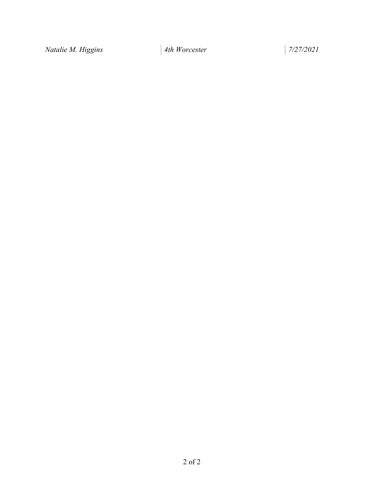*Natalie M. Higgins 4th Worcester 7/27/2021*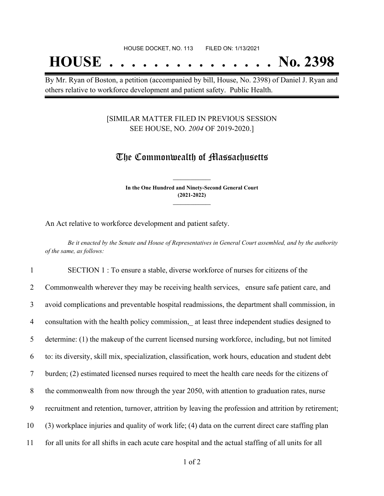## **HOUSE . . . . . . . . . . . . . . . No. 2398**

By Mr. Ryan of Boston, a petition (accompanied by bill, House, No. 2398) of Daniel J. Ryan and others relative to workforce development and patient safety. Public Health.

#### [SIMILAR MATTER FILED IN PREVIOUS SESSION SEE HOUSE, NO. *2004* OF 2019-2020.]

### The Commonwealth of Massachusetts

**In the One Hundred and Ninety-Second General Court (2021-2022) \_\_\_\_\_\_\_\_\_\_\_\_\_\_\_**

**\_\_\_\_\_\_\_\_\_\_\_\_\_\_\_**

An Act relative to workforce development and patient safety.

Be it enacted by the Senate and House of Representatives in General Court assembled, and by the authority *of the same, as follows:*

 SECTION 1 : To ensure a stable, diverse workforce of nurses for citizens of the Commonwealth wherever they may be receiving health services, ensure safe patient care, and avoid complications and preventable hospital readmissions, the department shall commission, in 4 consultation with the health policy commission, at least three independent studies designed to determine: (1) the makeup of the current licensed nursing workforce, including, but not limited to: its diversity, skill mix, specialization, classification, work hours, education and student debt burden; (2) estimated licensed nurses required to meet the health care needs for the citizens of the commonwealth from now through the year 2050, with attention to graduation rates, nurse recruitment and retention, turnover, attrition by leaving the profession and attrition by retirement; (3) workplace injuries and quality of work life; (4) data on the current direct care staffing plan for all units for all shifts in each acute care hospital and the actual staffing of all units for all